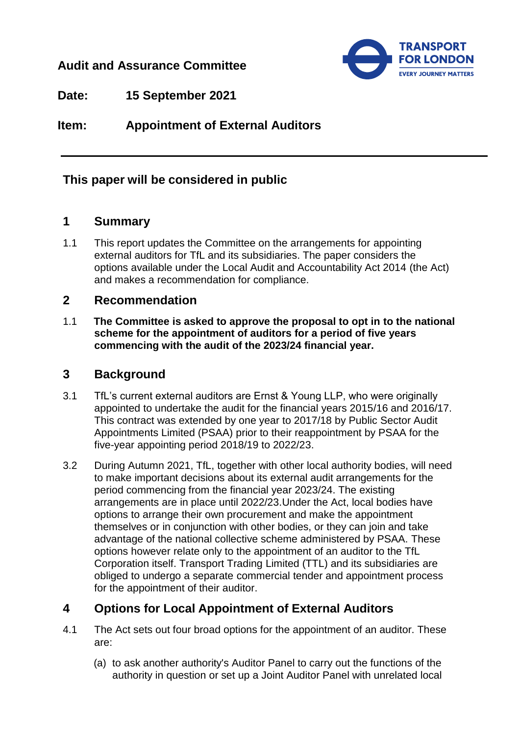# **Audit and Assurance Committee**



**Date: 15 September 2021**

**Item: Appointment of External Auditors**

# **This paper will be considered in public**

## **1 Summary**

1.1 This report updates the Committee on the arrangements for appointing external auditors for TfL and its subsidiaries. The paper considers the options available under the Local Audit and Accountability Act 2014 (the Act) and makes a recommendation for compliance.

### **2 Recommendation**

1.1 **The Committee is asked to approve the proposal to opt in to the national scheme for the appointment of auditors for a period of five years commencing with the audit of the 2023/24 financial year.**

### **3 Background**

- 3.1 TfL's current external auditors are Ernst & Young LLP, who were originally appointed to undertake the audit for the financial years 2015/16 and 2016/17. This contract was extended by one year to 2017/18 by Public Sector Audit Appointments Limited (PSAA) prior to their reappointment by PSAA for the five-year appointing period 2018/19 to 2022/23.
- 3.2 During Autumn 2021, TfL, together with other local authority bodies, will need to make important decisions about its external audit arrangements for the period commencing from the financial year 2023/24. The existing arrangements are in place until 2022/23.Under the Act, local bodies have options to arrange their own procurement and make the appointment themselves or in conjunction with other bodies, or they can join and take advantage of the national collective scheme administered by PSAA. These options however relate only to the appointment of an auditor to the TfL Corporation itself. Transport Trading Limited (TTL) and its subsidiaries are obliged to undergo a separate commercial tender and appointment process for the appointment of their auditor.

# **4 Options for Local Appointment of External Auditors**

- 4.1 The Act sets out four broad options for the appointment of an auditor. These are:
	- (a) to ask another authority's Auditor Panel to carry out the functions of the authority in question or set up a Joint Auditor Panel with unrelated local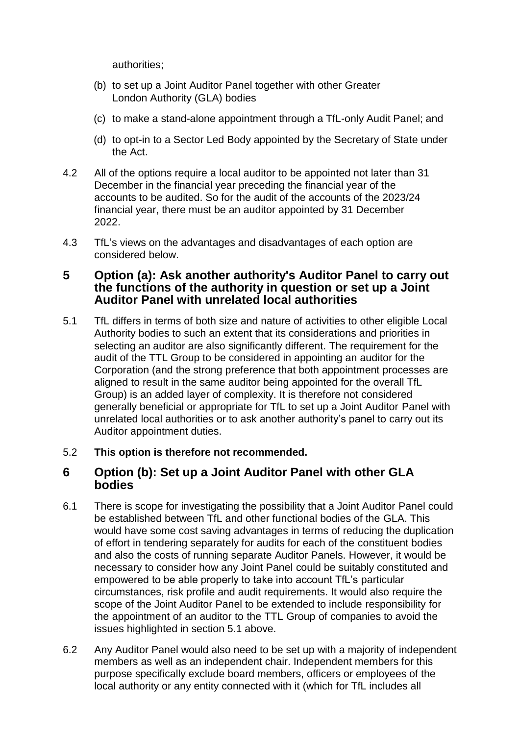authorities;

- (b) to set up a Joint Auditor Panel together with other Greater London Authority (GLA) bodies
- (c) to make a stand-alone appointment through a TfL-only Audit Panel; and
- (d) to opt-in to a Sector Led Body appointed by the Secretary of State under the Act.
- 4.2 All of the options require a local auditor to be appointed not later than 31 December in the financial year preceding the financial year of the accounts to be audited. So for the audit of the accounts of the 2023/24 financial year, there must be an auditor appointed by 31 December 2022.
- 4.3 TfL's views on the advantages and disadvantages of each option are considered below.

### **5 Option (a): Ask another authority's Auditor Panel to carry out the functions of the authority in question or set up a Joint Auditor Panel with unrelated local authorities**

<span id="page-1-0"></span>5.1 TfL differs in terms of both size and nature of activities to other eligible Local Authority bodies to such an extent that its considerations and priorities in selecting an auditor are also significantly different. The requirement for the audit of the TTL Group to be considered in appointing an auditor for the Corporation (and the strong preference that both appointment processes are aligned to result in the same auditor being appointed for the overall TfL Group) is an added layer of complexity. It is therefore not considered generally beneficial or appropriate for TfL to set up a Joint Auditor Panel with unrelated local authorities or to ask another authority's panel to carry out its Auditor appointment duties.

#### 5.2 **This option is therefore not recommended.**

#### **6 Option (b): Set up a Joint Auditor Panel with other GLA bodies**

- 6.1 There is scope for investigating the possibility that a Joint Auditor Panel could be established between TfL and other functional bodies of the GLA. This would have some cost saving advantages in terms of reducing the duplication of effort in tendering separately for audits for each of the constituent bodies and also the costs of running separate Auditor Panels. However, it would be necessary to consider how any Joint Panel could be suitably constituted and empowered to be able properly to take into account TfL's particular circumstances, risk profile and audit requirements. It would also require the scope of the Joint Auditor Panel to be extended to include responsibility for the appointment of an auditor to the TTL Group of companies to avoid the issues highlighted in section [5.1](#page-1-0) above.
- 6.2 Any Auditor Panel would also need to be set up with a majority of independent members as well as an independent chair. Independent members for this purpose specifically exclude board members, officers or employees of the local authority or any entity connected with it (which for TfL includes all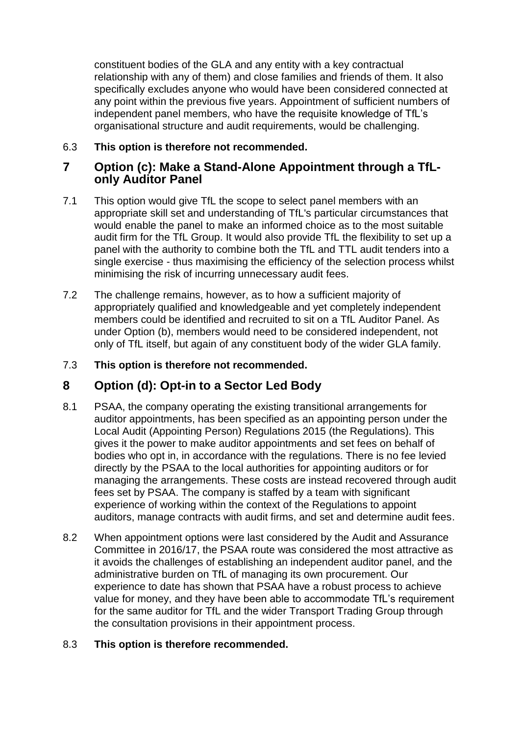constituent bodies of the GLA and any entity with a key contractual relationship with any of them) and close families and friends of them. It also specifically excludes anyone who would have been considered connected at any point within the previous five years. Appointment of sufficient numbers of independent panel members, who have the requisite knowledge of TfL's organisational structure and audit requirements, would be challenging.

#### 6.3 **This option is therefore not recommended.**

### **7 Option (c): Make a Stand-Alone Appointment through a TfLonly Auditor Panel**

- 7.1 This option would give TfL the scope to select panel members with an appropriate skill set and understanding of TfL's particular circumstances that would enable the panel to make an informed choice as to the most suitable audit firm for the TfL Group. It would also provide TfL the flexibility to set up a panel with the authority to combine both the TfL and TTL audit tenders into a single exercise - thus maximising the efficiency of the selection process whilst minimising the risk of incurring unnecessary audit fees.
- 7.2 The challenge remains, however, as to how a sufficient majority of appropriately qualified and knowledgeable and yet completely independent members could be identified and recruited to sit on a TfL Auditor Panel. As under Option (b), members would need to be considered independent, not only of TfL itself, but again of any constituent body of the wider GLA family.

#### 7.3 **This option is therefore not recommended.**

# **8 Option (d): Opt-in to a Sector Led Body**

- 8.1 PSAA, the company operating the existing transitional arrangements for auditor appointments, has been specified as an appointing person under the Local Audit (Appointing Person) Regulations 2015 (the Regulations). This gives it the power to make auditor appointments and set fees on behalf of bodies who opt in, in accordance with the regulations. There is no fee levied directly by the PSAA to the local authorities for appointing auditors or for managing the arrangements. These costs are instead recovered through audit fees set by PSAA. The company is staffed by a team with significant experience of working within the context of the Regulations to appoint auditors, manage contracts with audit firms, and set and determine audit fees.
- 8.2 When appointment options were last considered by the Audit and Assurance Committee in 2016/17, the PSAA route was considered the most attractive as it avoids the challenges of establishing an independent auditor panel, and the administrative burden on TfL of managing its own procurement. Our experience to date has shown that PSAA have a robust process to achieve value for money, and they have been able to accommodate TfL's requirement for the same auditor for TfL and the wider Transport Trading Group through the consultation provisions in their appointment process.

#### 8.3 **This option is therefore recommended.**